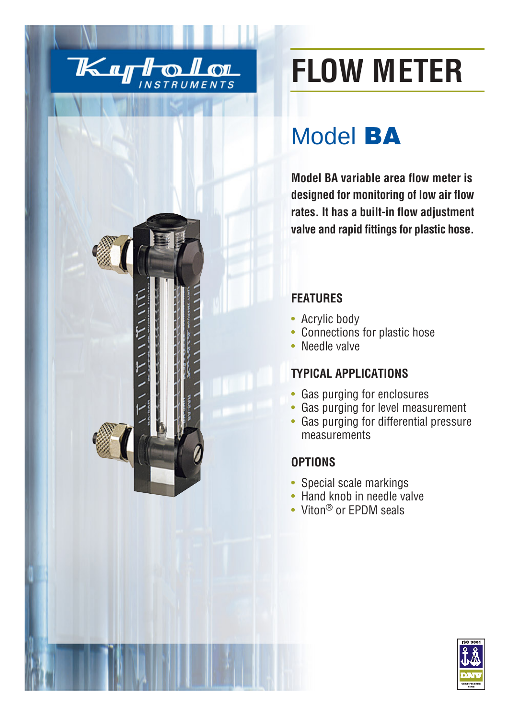



# **FLOW METER**

## Model **BA**

**Model BA variable area flow meter is designed for monitoring of low air flow rates. It has a built-in flow adjustment valve and rapid fittings for plastic hose.**

#### **FEATURES**

- Acrylic body
- Connections for plastic hose
- Needle valve

### **TYPICAL APPLICATIONS**

- Gas purging for enclosures
- Gas purging for level measurement
- Gas purging for differential pressure measurements

#### **OPTIONS**

- Special scale markings
- Hand knob in needle valve
- Viton<sup>®</sup> or EPDM seals